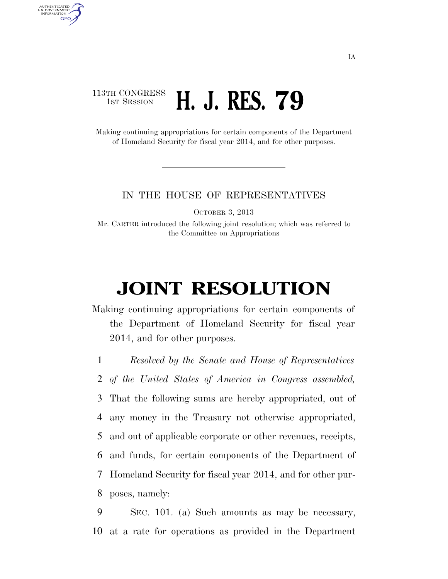## 113TH CONGRESS **1st Session H. J. RES. 79**

AUTHENTICATED<br>U.S. GOVERNMENT<br>INFORMATION **GPO** 

> Making continuing appropriations for certain components of the Department of Homeland Security for fiscal year 2014, and for other purposes.

## IN THE HOUSE OF REPRESENTATIVES

OCTOBER 3, 2013

Mr. CARTER introduced the following joint resolution; which was referred to the Committee on Appropriations

## **JOINT RESOLUTION**

Making continuing appropriations for certain components of the Department of Homeland Security for fiscal year 2014, and for other purposes.

1 *Resolved by the Senate and House of Representatives*

2 *of the United States of America in Congress assembled,* 

3 That the following sums are hereby appropriated, out of

4 any money in the Treasury not otherwise appropriated,

5 and out of applicable corporate or other revenues, receipts,

6 and funds, for certain components of the Department of

7 Homeland Security for fiscal year 2014, and for other pur-

8 poses, namely:

9 SEC. 101. (a) Such amounts as may be necessary, 10 at a rate for operations as provided in the Department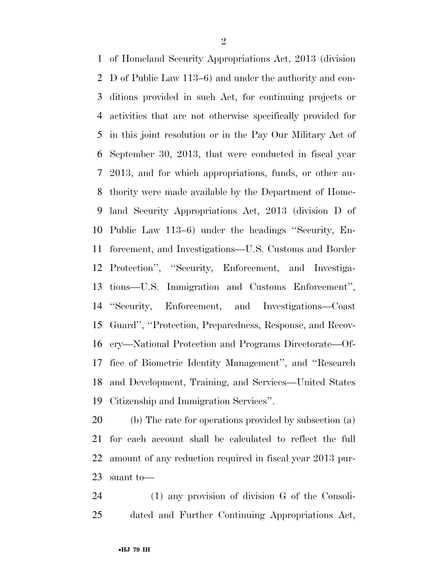of Homeland Security Appropriations Act, 2013 (division D of Public Law 113–6) and under the authority and con- ditions provided in such Act, for continuing projects or activities that are not otherwise specifically provided for in this joint resolution or in the Pay Our Military Act of September 30, 2013, that were conducted in fiscal year 2013, and for which appropriations, funds, or other au- thority were made available by the Department of Home- land Security Appropriations Act, 2013 (division D of Public Law 113–6) under the headings ''Security, En- forcement, and Investigations—U.S. Customs and Border Protection'', ''Security, Enforcement, and Investiga- tions—U.S. Immigration and Customs Enforcement'', ''Security, Enforcement, and Investigations—Coast Guard'', ''Protection, Preparedness, Response, and Recov- ery—National Protection and Programs Directorate—Of- fice of Biometric Identity Management'', and ''Research and Development, Training, and Services—United States Citizenship and Immigration Services''.

 (b) The rate for operations provided by subsection (a) for each account shall be calculated to reflect the full amount of any reduction required in fiscal year 2013 pur-suant to—

 (1) any provision of division G of the Consoli-dated and Further Continuing Appropriations Act,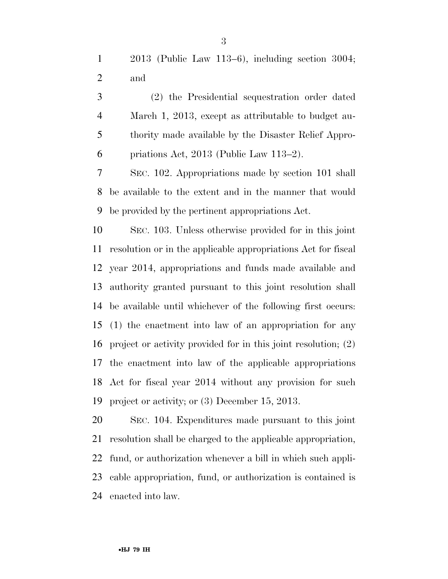2013 (Public Law 113–6), including section 3004; and

 (2) the Presidential sequestration order dated March 1, 2013, except as attributable to budget au- thority made available by the Disaster Relief Appro-priations Act, 2013 (Public Law 113–2).

 SEC. 102. Appropriations made by section 101 shall be available to the extent and in the manner that would be provided by the pertinent appropriations Act.

 SEC. 103. Unless otherwise provided for in this joint resolution or in the applicable appropriations Act for fiscal year 2014, appropriations and funds made available and authority granted pursuant to this joint resolution shall be available until whichever of the following first occurs: (1) the enactment into law of an appropriation for any project or activity provided for in this joint resolution; (2) the enactment into law of the applicable appropriations Act for fiscal year 2014 without any provision for such project or activity; or (3) December 15, 2013.

 SEC. 104. Expenditures made pursuant to this joint resolution shall be charged to the applicable appropriation, fund, or authorization whenever a bill in which such appli- cable appropriation, fund, or authorization is contained is enacted into law.